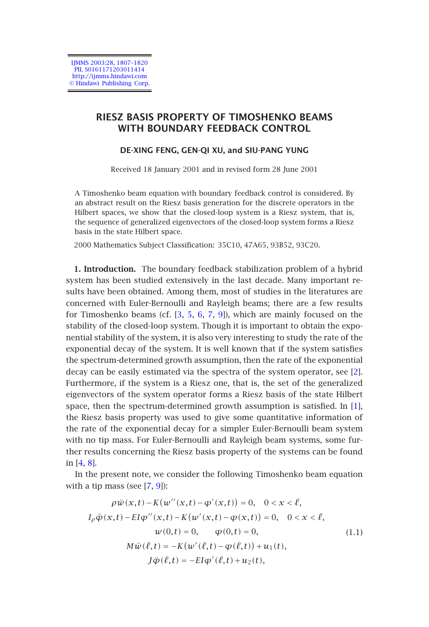IJMMS 2003:28, 1807–1820 PII. S0161171203011414 http://ijmms.hindawi.com © Hindawi Publishing Corp.

# **RIESZ BASIS PROPERTY OF TIMOSHENKO BEAMS WITH BOUNDARY FEEDBACK CONTROL**

# **DE-XING FENG, GEN-QI XU, and SIU-PANG YUNG**

Received 18 January 2001 and in revised form 28 June 2001

A Timoshenko beam equation with boundary feedback control is considered. By an abstract result on the Riesz basis generation for the discrete operators in the Hilbert spaces, we show tha[t th](#page-13-0)[e](#page-13-1) [clo](#page-13-2)[sed](#page-13-3)[-lo](#page-13-4)op system is a Riesz system, that is, the sequence of generalized eigenvectors of the closed-loop system forms a Riesz basis in the state Hilbert space.

2000 Mathematics Subject Classification: 35C10, 47A65, 93B52, 93C20.

**1. Introduction.** The boundary feedback stabilization problem of a hyb[rid](#page-13-5) system has been studied extensively in the last decade. Many important results have been obtained. Among them, most of studies in the literatures are concerned with Euler-Bernoulli and Rayleigh beams; there are a few res[ults](#page-13-6) for Timoshenko beams (cf. [3, 5, 6, 7, 9]), which are mainly focused on the stability of the closed-loop system. Though it is important to obtain the exponential stability of the system, it is also very interesting to study the rate of the exponential decay of the system. It is well known that if the system satisfies th[e s](#page-13-7)[pec](#page-13-8)trum-determined growth assumption, then the rate of the exponential decay can be easily estimated via the spectra of the system operator, see [2]. Furthermore, if the [sy](#page-13-3)[ste](#page-13-4)m is a Riesz one, that is, the set of the generalized eigenvectors of the system operator forms a Riesz basis of the state Hilbert space, then the spectrum-determined growth assumption is satisfied. In [1], the Riesz basis property was used to give some quantitative information of the rate of the exponential decay for a simpler Euler-Bernoulli beam system with no tip mass. For Euler-Bernoulli and Rayleigh beam systems, some further results concerning the Riesz basis property of the systems can be found in [4, 8].

<span id="page-0-0"></span>In the present note, we consider the following Timoshenko beam equation with a tip mass (see  $[7, 9]$ ):

$$
\rho \ddot{w}(x,t) - K(w''(x,t) - \phi'(x,t)) = 0, \quad 0 < x < \ell,
$$
  
\n
$$
I_{\rho} \ddot{\phi}(x,t) - EI\phi''(x,t) - K(w'(x,t) - \phi(x,t)) = 0, \quad 0 < x < \ell,
$$
  
\n
$$
w(0,t) = 0, \qquad \phi(0,t) = 0,
$$
  
\n
$$
M\ddot{w}(\ell,t) = -K(w'(\ell,t) - \phi(\ell,t)) + u_1(t),
$$
  
\n
$$
J\ddot{\phi}(\ell,t) = -EI\phi'(\ell,t) + u_2(t),
$$
\n(1.1)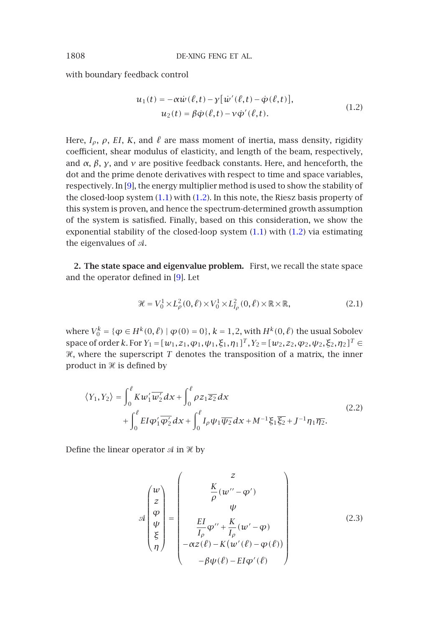with boundary feedback control

$$
u_1(t) = -\alpha \dot{w}(\ell, t) - y[\dot{w}'(\ell, t) - \dot{\varphi}(\ell, t)],
$$
  
\n
$$
u_2(t) = \beta \dot{\varphi}(\ell, t) - v \dot{\varphi}'(\ell, t).
$$
\n(1.2)

Here,  $I_{\rho}$ ,  $\rho$ , *EI*, *K*, and  $\ell$  are mass moment of inertia, mass density, rigidity coefficient, shear modulus of elasticity, and length of the beam, respectively, and *α*, *β*, *γ*, and *ν* are positive feedback constants. Here, and henceforth, the dot and the prime denote de[riv](#page-13-4)atives with respect to time and space variables, respectively. In [9], the energy multiplier method is used to show the stability of the closed-loop system  $(1.1)$  with  $(1.2)$ . In this note, the Riesz basis property of this system is proven, and hence the spectrum-determined growth assumption of the system is satisfied. Finally, based on this consideration, we show the exponential stability of the closed-loop system (1.1) with (1.2) via estimating the eigenvalues of  $A$ .

**2. The state space and eigenvalue problem.** First, we recall the state space and the operator defined in [9]. Let

$$
\mathcal{H} = V_0^1 \times L^2_{\rho}(0,\ell) \times V_0^1 \times L^2_{I_{\rho}}(0,\ell) \times \mathbb{R} \times \mathbb{R},\tag{2.1}
$$

where  $V_0^k = \{ \varphi \in H^k(0, \ell) \mid \varphi(0) = 0 \}, k = 1, 2$ , with  $H^k(0, \ell)$  the usual Sobolev space of order *k*. For  $Y_1 = [w_1, z_1, \varphi_1, \psi_1, \xi_1, \eta_1]^T$ ,  $Y_2 = [w_2, z_2, \varphi_2, \psi_2, \xi_2, \eta_2]^T \in$  $\mathscr H$ , where the superscript  $T$  denotes the transposition of a matrix, the inner product in  ${\mathscr H}$  is defined by

$$
\langle Y_1, Y_2 \rangle = \int_0^{\ell} K w_1' \overline{w_2'} dx + \int_0^{\ell} \rho z_1 \overline{z_2} dx + \int_0^{\ell} E I \varphi_1' \overline{\varphi_2'} dx + \int_0^{\ell} I_{\rho} \psi_1 \overline{\psi_2'} dx + M^{-1} \xi_1 \overline{\xi_2} + J^{-1} \eta_1 \overline{\eta_2}.
$$
 (2.2)

Define the linear operator  $\mathcal A$  in  $\mathcal H$  by

$$
\mathcal{A}\begin{pmatrix} w \\ z \\ \varphi \\ \psi \\ \xi \\ \eta \end{pmatrix} = \begin{pmatrix} z \\ \frac{K}{\rho}(w'' - \varphi') \\ \psi \\ \frac{EI}{I_{\rho}}\varphi'' + \frac{K}{I_{\rho}}(w' - \varphi) \\ -\alpha z(\ell) - K(w'(\ell) - \varphi(\ell)) \\ -\beta \psi(\ell) - EI\varphi'(\ell) \end{pmatrix}
$$
(2.3)

<span id="page-1-0"></span>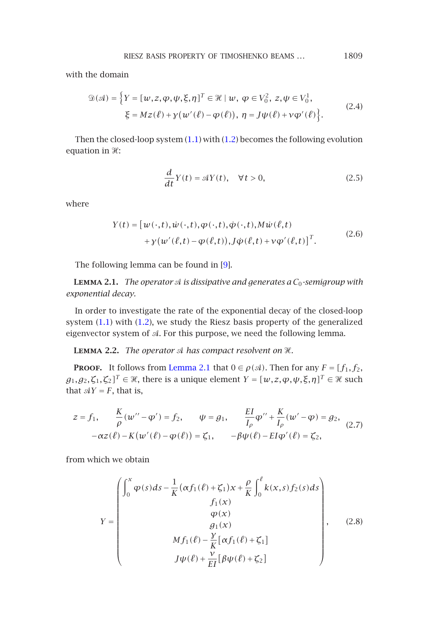RIESZ BASIS PROPERTY OF TIMOSHENKO BEAMS *...* 1809

<span id="page-2-1"></span>with the domain

$$
\mathcal{D}(\mathcal{A}) = \left\{ Y = [w, z, \varphi, \psi, \xi, \eta]^T \in \mathcal{H} \mid w, \varphi \in V_0^2, \ z, \psi \in V_0^1, \xi = Mz(\ell) + \gamma(w'(\ell) - \varphi(\ell)), \eta = J\psi(\ell) + \gamma\varphi'(\ell) \right\}.
$$
\n(2.4)

<span id="page-2-0"></span>Then the closed-loop system (1.1) with (1.2) becomes the following evolution equation in  $\mathcal{H}$ :

$$
\frac{d}{dt}Y(t) = \mathcal{A}Y(t), \quad \forall t > 0,
$$
\n(2.5)

where

$$
Y(t) = [w(\cdot, t), \dot{w}(\cdot, t), \varphi(\cdot, t), \dot{\varphi}(\cdot, t), M\dot{w}(\ell, t)+ \gamma(w'(\ell, t) - \varphi(\ell, t)), J\dot{\varphi}(\ell, t) + \gamma \varphi'(\ell, t)]^T.
$$
\n(2.6)

The following lemma ca[n be found i](#page-2-0)n [9].

**LEMMA 2.1.** *The operator*  $\triangleleft$  *is dissipative and generates a*  $C_0$ -semigroup with *exponential decay.*

In order to investigate the rate of the exponential decay of the closed-loop system (1.1) with (1.2), we study the Riesz basis property of the generalized eigenvector system of  $A$ . For this purpose, we need the following lemma.

**LEMMA 2.2.** The operator  $\mathcal A$  has compact resolvent on  $\mathcal X$ .

**PROOF.** It follows from Lemma 2.1 that  $0 \in \rho(\mathcal{A})$ . Then for any  $F = [f_1, f_2,$  $g_1, g_2, \zeta_1, \zeta_2]^T \in \mathcal{H}$ , there is a unique element  $Y = [w, z, \varphi, \psi, \xi, \eta]^T \in \mathcal{H}$  such that  $\mathcal{A}Y = F$ , that is,

$$
z = f_1, \qquad \frac{K}{\rho}(w'' - \varphi') = f_2, \qquad \psi = g_1, \qquad \frac{EI}{I_\rho}\varphi'' + \frac{K}{I_\rho}(w' - \varphi) = g_2, - \alpha z(\ell) - K(w'(\ell) - \varphi(\ell)) = \zeta_1, \qquad -\beta \psi(\ell) - EI\varphi'(\ell) = \zeta_2,
$$
 (2.7)

from which we obtain

$$
Y = \begin{pmatrix} \int_0^x \varphi(s)ds - \frac{1}{K}(\alpha f_1(\ell) + \zeta_1)x + \frac{\rho}{K} \int_0^{\ell} k(x,s) f_2(s)ds \\ f_1(x) \\ \varphi(x) \\ g_1(x) \\ M f_1(\ell) - \frac{\gamma}{K} [\alpha f_1(\ell) + \zeta_1] \\ J \psi(\ell) + \frac{\gamma}{EI} [\beta \psi(\ell) + \zeta_2] \end{pmatrix},
$$
(2.8)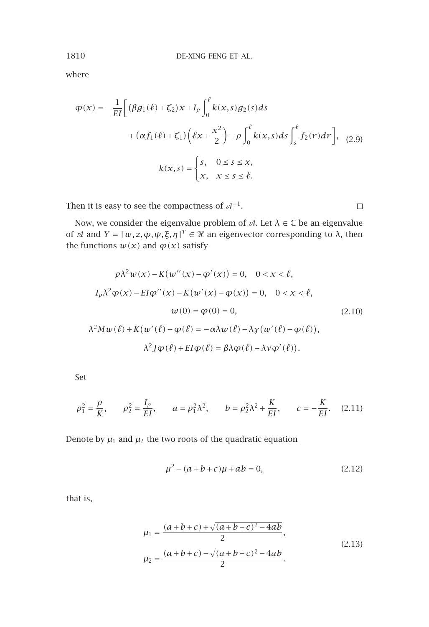where

$$
\varphi(x) = -\frac{1}{EI} \left[ \left( \beta g_1(\ell) + \zeta_2 \right) x + I_\rho \int_0^\ell k(x, s) g_2(s) ds \right. \\ \left. + \left( \alpha f_1(\ell) + \zeta_1 \right) \left( \ell x + \frac{x^2}{2} \right) + \rho \int_0^\ell k(x, s) ds \int_s^\ell f_2(r) dr \right], \quad (2.9)
$$

$$
k(x, s) = \begin{cases} s, & 0 \le s \le x, \\ x, & x \le s \le \ell. \end{cases}
$$

Then it is easy to see the compactness of  $\mathcal{A}^{-1}.$ 

Now, we consider the eigenvalue problem of  $\mathcal{A}$ . Let  $\lambda \in \mathbb{C}$  be an eigenvalue of  $\mathcal{A}$  and  $Y = [w, z, \varphi, \psi, \xi, \eta]^T \in \mathcal{H}$  an eigenvector corresponding to  $\lambda$ , then the functions  $w(x)$  and  $\varphi(x)$  satisfy

$$
\rho \lambda^2 w(x) - K(w''(x) - \varphi'(x)) = 0, \quad 0 < x < \ell,
$$
\n
$$
I_{\rho} \lambda^2 \varphi(x) - EI\varphi''(x) - K(w'(x) - \varphi(x)) = 0, \quad 0 < x < \ell,
$$
\n
$$
w(0) = \varphi(0) = 0, \quad (2.10)
$$
\n
$$
\lambda^2 M w(\ell) + K(w'(\ell) - \varphi(\ell) = -\alpha \lambda w(\ell) - \lambda \gamma(w'(\ell) - \varphi(\ell)),
$$
\n
$$
\lambda^2 J \varphi(\ell) + EI\varphi(\ell) = \beta \lambda \varphi(\ell) - \lambda \gamma \varphi'(\ell).
$$

Set

$$
\rho_1^2 = \frac{\rho}{K}, \qquad \rho_2^2 = \frac{I_\rho}{EI}, \qquad a = \rho_1^2 \lambda^2, \qquad b = \rho_2^2 \lambda^2 + \frac{K}{EI}, \qquad c = -\frac{K}{EI}.
$$
 (2.11)

Denote by  $\mu_1$  and  $\mu_2$  the two roots of the quadratic equation

$$
\mu^2 - (a+b+c)\mu + ab = 0,\tag{2.12}
$$

 $\Box$ 

that is,

$$
\mu_1 = \frac{(a+b+c)+\sqrt{(a+b+c)^2-4ab}}{2},
$$
  
\n
$$
\mu_2 = \frac{(a+b+c)-\sqrt{(a+b+c)^2-4ab}}{2}.
$$
\n(2.13)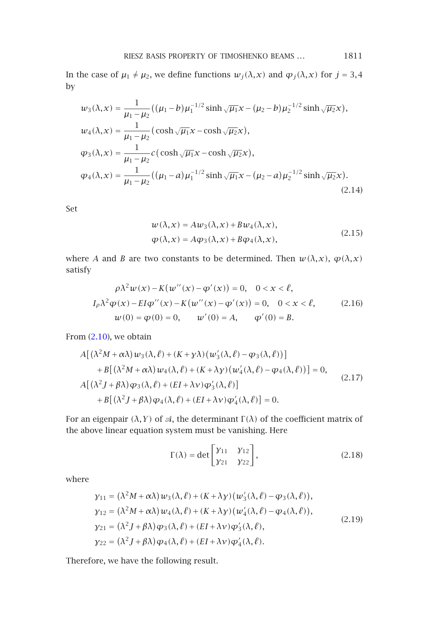RIESZ BASIS PROPERTY OF TIMOSHENKO BEAMS *...* 1811

In the case of  $\mu_1 \neq \mu_2$ , we define functions  $w_j(\lambda, x)$  and  $\varphi_j(\lambda, x)$  for  $j = 3, 4$ by

$$
w_3(\lambda, x) = \frac{1}{\mu_1 - \mu_2} ((\mu_1 - b)\mu_1^{-1/2} \sinh \sqrt{\mu_1} x - (\mu_2 - b)\mu_2^{-1/2} \sinh \sqrt{\mu_2} x),
$$
  
\n
$$
w_4(\lambda, x) = \frac{1}{\mu_1 - \mu_2} (\cosh \sqrt{\mu_1} x - \cosh \sqrt{\mu_2} x),
$$
  
\n
$$
\varphi_3(\lambda, x) = \frac{1}{\mu_1 - \mu_2} c (\cosh \sqrt{\mu_1} x - \cosh \sqrt{\mu_2} x),
$$
  
\n
$$
\varphi_4(\lambda, x) = \frac{1}{\mu_1 - \mu_2} ((\mu_1 - a)\mu_1^{-1/2} \sinh \sqrt{\mu_1} x - (\mu_2 - a)\mu_2^{-1/2} \sinh \sqrt{\mu_2} x).
$$
\n(2.14)

Set

$$
w(\lambda, x) = Aw_3(\lambda, x) + Bw_4(\lambda, x),
$$
  
\n
$$
\varphi(\lambda, x) = A\varphi_3(\lambda, x) + B\varphi_4(\lambda, x),
$$
\n(2.15)

where *A* and *B* are two constants to be determined. Then  $w(\lambda, x)$ ,  $\varphi(\lambda, x)$ satisfy

$$
\rho \lambda^2 w(x) - K(w''(x) - \varphi'(x)) = 0, \quad 0 < x < \ell,
$$
  
\n
$$
I_{\rho} \lambda^2 \varphi(x) - EI\varphi''(x) - K(w''(x) - \varphi'(x)) = 0, \quad 0 < x < \ell,
$$
  
\n
$$
w(0) = \varphi(0) = 0, \qquad w'(0) = A, \qquad \varphi'(0) = B.
$$
\n(2.16)

From (2.10), we obtain

$$
A[(\lambda^2 M + \alpha \lambda) w_3(\lambda, \ell) + (K + \gamma \lambda) (w'_3(\lambda, \ell) - \varphi_3(\lambda, \ell))]
$$
  
+ 
$$
B[(\lambda^2 M + \alpha \lambda) w_4(\lambda, \ell) + (K + \lambda \gamma) (w'_4(\lambda, \ell) - \varphi_4(\lambda, \ell))] = 0,
$$
  

$$
A[(\lambda^2 J + \beta \lambda) \varphi_3(\lambda, \ell) + (EI + \lambda \nu) \varphi'_3(\lambda, \ell)]
$$
  
+ 
$$
B[(\lambda^2 J + \beta \lambda) \varphi_4(\lambda, \ell) + (EI + \lambda \nu) \varphi'_4(\lambda, \ell)] = 0.
$$
 (2.17)

For an eigenpair  $(\lambda,Y)$  of  $\mathcal A,$  the determinant  $\Gamma(\lambda)$  of the coefficient matrix of the above linear equation system must be vanishing. Here

$$
\Gamma(\lambda) = \det \begin{bmatrix} \gamma_{11} & \gamma_{12} \\ \gamma_{21} & \gamma_{22} \end{bmatrix},\tag{2.18}
$$

<span id="page-4-0"></span>where

$$
\gamma_{11} = (\lambda^2 M + \alpha \lambda) w_3(\lambda, \ell) + (K + \lambda \gamma) (w_3'(\lambda, \ell) - \varphi_3(\lambda, \ell)),
$$
  
\n
$$
\gamma_{12} = (\lambda^2 M + \alpha \lambda) w_4(\lambda, \ell) + (K + \lambda \gamma) (w_4'(\lambda, \ell) - \varphi_4(\lambda, \ell)),
$$
  
\n
$$
\gamma_{21} = (\lambda^2 J + \beta \lambda) \varphi_3(\lambda, \ell) + (EI + \lambda \gamma) \varphi_3'(\lambda, \ell),
$$
  
\n
$$
\gamma_{22} = (\lambda^2 J + \beta \lambda) \varphi_4(\lambda, \ell) + (EI + \lambda \gamma) \varphi_4'(\lambda, \ell).
$$
\n(2.19)

Therefore, we have the following result.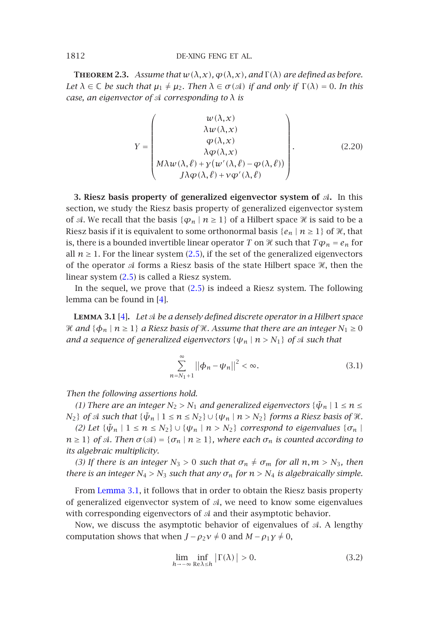<span id="page-5-1"></span>**THEOREM 2.3.** Assume that  $w(\lambda, x)$ ,  $\varphi(\lambda, x)$ , and  $\Gamma(\lambda)$  are defined as before. *Let*  $\lambda \in \mathbb{C}$  *be such that*  $\mu_1 \neq \mu_2$ *. Then*  $\lambda \in \sigma(\mathcal{A})$  *if and only if*  $\Gamma(\lambda) = 0$ *. In this case, an eigenvector of corresponding to λ is*

$$
Y = \begin{pmatrix} w(\lambda, x) \\ \lambda w(\lambda, x) \\ \varphi(\lambda, x) \\ \lambda \varphi(\lambda, x) \\ \lambda \varphi(\lambda, x) \\ J\lambda \varphi(\lambda, \ell) + \gamma(w'(\lambda, \ell) - \varphi(\lambda, \ell)) \end{pmatrix}.
$$
 (2.20)

<span id="page-5-0"></span>**3. Riesz basis prope[rty](#page-13-7) of generalized eigenvector system of .** In this section, we study the Riesz basis property of generalized eigenvector system of  $\mathcal A$  $\mathcal A$  $\mathcal A$ . We reca[ll](#page-13-7) that the basis  $\{\varphi_n \mid n \geq 1\}$  of a Hilbert space  $\mathcal X$  is said to be a Riesz basis if it is equivalent to some orthonormal basis  $\{e_n \mid n\geq 1\}$  of H, that is, there is a bounded invertible linear operator  $T$  on  $\mathscr{\mathscr{X}}$  such that  $T\bm{\varphi}_n$  =  $e_n$  for all  $n \geq 1$ . For the linear system (2.5), if the set of the generalized eigenvectors of the operator  $\mathcal A$  forms a Riesz basis of the state Hilbert space  $\mathcal H$ , then the linear system (2.5) is called a Riesz system.

In the sequel, we prove that (2.5) is indeed a Riesz system. The following lemma can be found in [4].

**Lemma 3.1** [4]**.** *Let be a densely defined discrete operator in a Hilbert space*  $\mathcal H$  and  $\{\boldsymbol\phi_n\mid n\ge 1\}$  a Riesz basis of  $\mathcal H.$  Assume that there are an integer  $N_1\ge 0$ *and a sequence of generalized eigenvectors*  $\{\psi_n \mid n > N_1\}$  *of*  $\mathcal A$  *such that* 

$$
\sum_{n=N_1+1}^{\infty} ||\phi_n - \psi_n||^2 < \infty.
$$
 (3.1)

*Then th[e following a](#page-5-0)ssertions hold.*

*(1) There are an integer*  $N_2 > N_1$  *and generalized eigenvectors*  $\{\tilde{\psi}_n \mid 1 \leq n \leq n\}$ *N*<sub>2</sub>} *of*  $\mathcal A$  *such that*  $\{\tilde{\psi}_n \mid 1 \leq n \leq N_2\} \cup \{\psi_n \mid n > N_2\}$  forms a Riesz basis of  $\mathcal X$ *.* 

*(2)* Let  $\{\tilde{\psi}_n \mid 1 \leq n \leq N_2\}$   $\cup \{\psi_n \mid n > N_2\}$  correspond to eigenvalues  $\{\sigma_n \mid$  $n \geq 1$ *} of A*. *Then*  $\sigma(\mathcal{A}) = \{\sigma_n \mid n \geq 1\}$ *, where each*  $\sigma_n$  *is counted according to its algebraic multiplicity.*

*(3) If there is an integer*  $N_3 > 0$  *such that*  $\sigma_n \neq \sigma_m$  *for all*  $n, m > N_3$ *, then there is an integer*  $N_4 > N_3$  *such that any*  $\sigma_n$  *for*  $n > N_4$  *is algebraically simple.* 

From Lemma 3.1, it follows that in order to obtain the Riesz basis property of generalized eigenvector system of  $A$ , we need to know some eigenvalues with corresponding eigenvectors of  $A$  and their asymptotic behavior.

Now, we discuss the asymptotic behavior of eigenvalues of  $A$ . A lengthy computation shows that when  $J - \rho_2 v \neq 0$  and  $M - \rho_1 y \neq 0$ ,

$$
\lim_{h \to -\infty} \inf_{\mathbb{R} \in \lambda \le h} |\Gamma(\lambda)| > 0.
$$
 (3.2)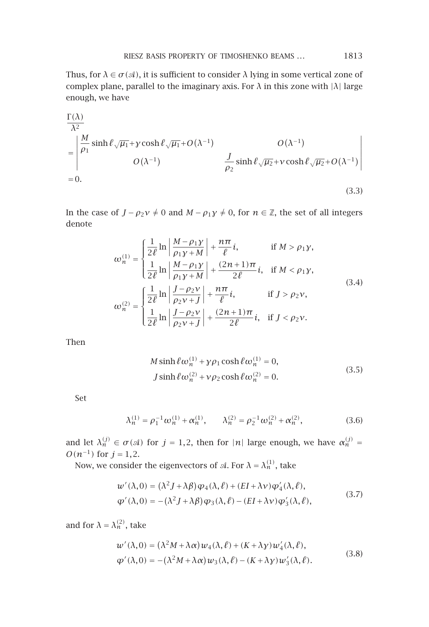Thus, for  $\lambda \in \sigma(\mathcal{A})$ , it is sufficient to consider  $\lambda$  lying in some vertical zone of complex plane, parallel to the imaginary axis. For *λ* in this zone with |*λ*| large enough, we have

$$
\frac{\Gamma(\lambda)}{\lambda^2} = \begin{vmatrix} \frac{M}{\rho_1} \sinh \ell \sqrt{\mu_1} + \gamma \cosh \ell \sqrt{\mu_1} + O(\lambda^{-1}) & O(\lambda^{-1}) \\ O(\lambda^{-1}) & \frac{J}{\rho_2} \sinh \ell \sqrt{\mu_2} + \gamma \cosh \ell \sqrt{\mu_2} + O(\lambda^{-1}) \end{vmatrix}
$$
  
= 0. (3.3)

In the case of  $J - \rho_2 v \neq 0$  and  $M - \rho_1 y \neq 0$ , for  $n \in \mathbb{Z}$ , the set of all integers denote

$$
\omega_n^{(1)} = \begin{cases}\n\frac{1}{2\ell} \ln \left| \frac{M - \rho_1 y}{\rho_1 y + M} \right| + \frac{n\pi}{\ell} i, & \text{if } M > \rho_1 y, \\
\frac{1}{2\ell} \ln \left| \frac{M - \rho_1 y}{\rho_1 y + M} \right| + \frac{(2n+1)\pi}{2\ell} i, & \text{if } M < \rho_1 y, \\
\omega_n^{(2)} = \begin{cases}\n\frac{1}{2\ell} \ln \left| \frac{J - \rho_2 y}{\rho_2 y + J} \right| + \frac{n\pi}{\ell} i, & \text{if } J > \rho_2 y, \\
\frac{1}{2\ell} \ln \left| \frac{J - \rho_2 y}{\rho_2 y + J} \right| + \frac{(2n+1)\pi}{2\ell} i, & \text{if } J < \rho_2 y.\n\end{cases}
$$
\n(3.4)

Then

$$
M\sinh\ell\omega_n^{(1)} + \gamma\rho_1\cosh\ell\omega_n^{(1)} = 0,
$$
  
\n
$$
J\sinh\ell\omega_n^{(2)} + \gamma\rho_2\cosh\ell\omega_n^{(2)} = 0.
$$
\n(3.5)

Set

$$
\lambda_n^{(1)} = \rho_1^{-1} \omega_n^{(1)} + \alpha_n^{(1)}, \qquad \lambda_n^{(2)} = \rho_2^{-1} \omega_n^{(2)} + \alpha_n^{(2)}, \tag{3.6}
$$

and let  $\lambda_n^{(j)} \in \sigma(\mathcal{A})$  for  $j = 1, 2$ , then for  $|n|$  large enough, we have  $\alpha_n^{(j)} =$ *O*( $n^{-1}$ ) for *j* = 1,2.

Now, we consider the eigenvectors of  $\mathcal{A}$ . For  $\lambda = \lambda_n^{(1)}$ , take

$$
w'(\lambda,0) = (\lambda^2 J + \lambda \beta) \varphi_4(\lambda,\ell) + (EI + \lambda \nu) \varphi_4'(\lambda,\ell),
$$
  
 
$$
\varphi'(\lambda,0) = -(\lambda^2 J + \lambda \beta) \varphi_3(\lambda,\ell) - (EI + \lambda \nu) \varphi_3'(\lambda,\ell),
$$
 (3.7)

and for  $\lambda = \lambda_n^{(2)}$ , take

$$
w'(\lambda,0) = (\lambda^2 M + \lambda \alpha) w_4(\lambda,\ell) + (K + \lambda \gamma) w_4'(\lambda,\ell),
$$
  
\n
$$
\varphi'(\lambda,0) = -(\lambda^2 M + \lambda \alpha) w_3(\lambda,\ell) - (K + \lambda \gamma) w_3'(\lambda,\ell).
$$
\n(3.8)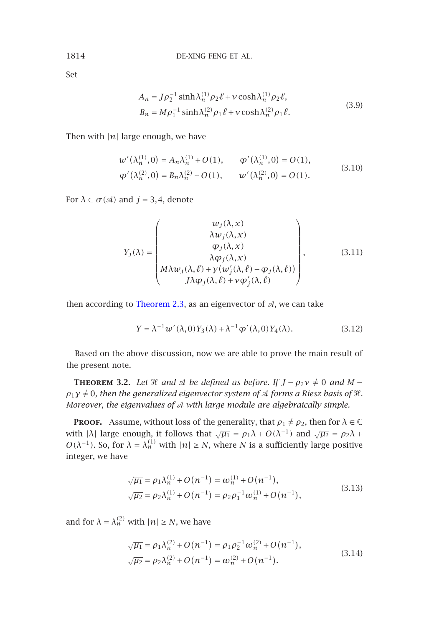Set

$$
A_n = J\rho_2^{-1} \sinh \lambda_n^{(1)} \rho_2 \ell + \nu \cosh \lambda_n^{(1)} \rho_2 \ell,
$$
  
\n
$$
B_n = M\rho_1^{-1} \sinh \lambda_n^{(2)} \rho_1 \ell + \nu \cosh \lambda_n^{(2)} \rho_1 \ell.
$$
\n(3.9)

Then with  $|n|$  large enough, we have

$$
w'(\lambda_n^{(1)}, 0) = A_n \lambda_n^{(1)} + O(1), \qquad \varphi'(\lambda_n^{(1)}, 0) = O(1),
$$
  
 
$$
\varphi'(\lambda_n^{(2)}, 0) = B_n \lambda_n^{(2)} + O(1), \qquad w'(\lambda_n^{(2)}, 0) = O(1).
$$
 (3.10)

For  $\lambda \in \sigma(\mathcal{A})$  and  $j = 3, 4$ , denote

$$
Y_j(\lambda) = \begin{pmatrix} w_j(\lambda, x) \\ \lambda w_j(\lambda, x) \\ \varphi_j(\lambda, x) \\ \lambda \varphi_j(\lambda, x) \\ M\lambda w_j(\lambda, \ell) + \gamma (w'_j(\lambda, \ell) - \varphi_j(\lambda, \ell)) \\ J\lambda \varphi_j(\lambda, \ell) + \gamma \varphi'_j(\lambda, \ell) \end{pmatrix},
$$
(3.11)

<span id="page-7-0"></span>then according to Theorem 2.3, as an eigenvector of  $A$ , we can take

$$
Y = \lambda^{-1} w'(\lambda, 0) Y_3(\lambda) + \lambda^{-1} \varphi'(\lambda, 0) Y_4(\lambda).
$$
 (3.12)

Based on the above discussion, now we are able to prove the main result of the present note.

**THEOREM** 3.2. Let  $\mathcal{H}$  and  $\mathcal{A}$  be defined as before. If  $J - \rho_2 v \neq 0$  and  $M \rho_1\gamma\neq 0$ , then the generalized eigenvector system of  ${\mathcal A}$  forms a Riesz basis of  ${\mathcal H}.$ *Moreover, the eigenvalues of with large module are algebraically simple.*

**PROOF.** Assume, without loss of the generality, that  $\rho_1 \neq \rho_2$ , then for  $\lambda \in \mathbb{C}$ with  $|\lambda|$  large enough, it follows that  $\sqrt{\mu_1} = \rho_1 \lambda + O(\lambda^{-1})$  and  $\sqrt{\mu_2} = \rho_2 \lambda + O(\lambda^{-1})$ *O*( $λ^{-1}$ ). So, for  $λ = λ<sup>(1)</sup><sub>n</sub>$  with  $|n| ≥ N$ , where *N* is a sufficiently large positive integer, we have

$$
\sqrt{\mu_1} = \rho_1 \lambda_n^{(1)} + O(n^{-1}) = \omega_n^{(1)} + O(n^{-1}),
$$
  
\n
$$
\sqrt{\mu_2} = \rho_2 \lambda_n^{(1)} + O(n^{-1}) = \rho_2 \rho_1^{-1} \omega_n^{(1)} + O(n^{-1}),
$$
\n(3.13)

and for  $\lambda = \lambda_n^{(2)}$  with  $|n| \ge N$ , we have

$$
\sqrt{\mu_1} = \rho_1 \lambda_n^{(2)} + O(n^{-1}) = \rho_1 \rho_2^{-1} \omega_n^{(2)} + O(n^{-1}),
$$
  
\n
$$
\sqrt{\mu_2} = \rho_2 \lambda_n^{(2)} + O(n^{-1}) = \omega_n^{(2)} + O(n^{-1}).
$$
\n(3.14)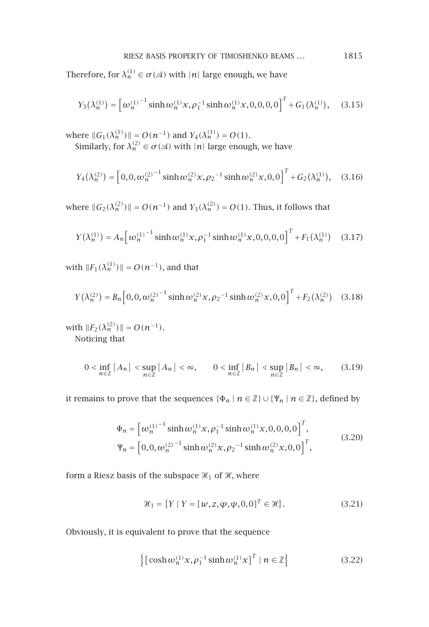Therefore, for  $\lambda_n^{(1)} \in \sigma(\mathcal{A})$  with  $|n|$  large enough, we have

$$
Y_3(\lambda_n^{(1)}) = \left[\omega_n^{(1)}^{-1} \sinh \omega_n^{(1)} x, \rho_1^{-1} \sinh \omega_n^{(1)} x, 0, 0, 0, 0\right]^T + G_1(\lambda_n^{(1)}), \quad (3.15)
$$

where  $||G_1(\lambda_n^{(1)})|| = O(n^{-1})$  and  $Y_4(\lambda_n^{(1)}) = O(1)$ . Similarly, for  $\lambda_n^{(2)} \in \sigma(\mathcal{A})$  with  $|n|$  large enough, we have

$$
Y_4(\lambda_n^{(2)}) = \left[0, 0, \omega_n^{(2)}{}^{-1} \sinh \omega_n^{(2)} x, \rho_2^{-1} \sinh \omega_n^{(2)} x, 0, 0\right]^T + G_2(\lambda_n^{(1)}), \quad (3.16)
$$

where  $||G_2(\lambda_n^{(2)})|| = O(n^{-1})$  and  $Y_3(\lambda_n^{(2)}) = O(1)$ . Thus, it follows that

$$
Y(\lambda_n^{(1)}) = A_n \left[ \omega_n^{(1)}^{-1} \sinh \omega_n^{(1)} x, \rho_1^{-1} \sinh \omega_n^{(1)} x, 0, 0, 0, 0 \right]^T + F_1(\lambda_n^{(1)}) \quad (3.17)
$$

with  $||F_1(\lambda_n^{(1)})|| = O(n^{-1})$ , and that

$$
Y(\lambda_n^{(2)}) = B_n \left[ 0, 0, \omega_n^{(2)} \right]^{-1} \sinh \omega_n^{(2)} x, \rho_2^{-1} \sinh \omega_n^{(2)} x, 0, 0 \right]^T + F_2(\lambda_n^{(2)}) \quad (3.18)
$$

with  $||F_2(\lambda_n^{(2)})|| = O(n^{-1})$ . Noticing that

$$
0 < \inf_{n \in \mathbb{Z}} |A_n| < \sup_{n \in \mathbb{Z}} |A_n| < \infty, \qquad 0 < \inf_{n \in \mathbb{Z}} |B_n| < \sup_{n \in \mathbb{Z}} |B_n| < \infty,\tag{3.19}
$$

it remains to prove that the sequences  $\{\Phi_n \mid n \in \mathbb{Z}\} \cup \{\Psi_n \mid n \in \mathbb{Z}\}$ , defined by

$$
\Phi_n = \left[ \omega_n^{(1)} \sinh \omega_n^{(1)} x, \rho_1^{-1} \sinh \omega_n^{(1)} x, 0, 0, 0, 0 \right]^T,
$$
  
\n
$$
\Psi_n = \left[ 0, 0, \omega_n^{(2)} \sinh \omega_n^{(2)} x, \rho_2^{-1} \sinh \omega_n^{(2)} x, 0, 0 \right]^T,
$$
\n(3.20)

form a Riesz basis of the subspace  $\mathcal{H}_1$  of  $\mathcal{H}$ , where

$$
\mathcal{H}_1 = \{ Y \mid Y = [w, z, \varphi, \psi, 0, 0]^T \in \mathcal{H} \}. \tag{3.21}
$$

Obviously, it is equivalent to prove that the sequence

$$
\left\{ \left[ \cosh \omega_n^{(1)} x, \rho_1^{-1} \sinh \omega_n^{(1)} x \right]^T \mid n \in \mathbb{Z} \right\}
$$
 (3.22)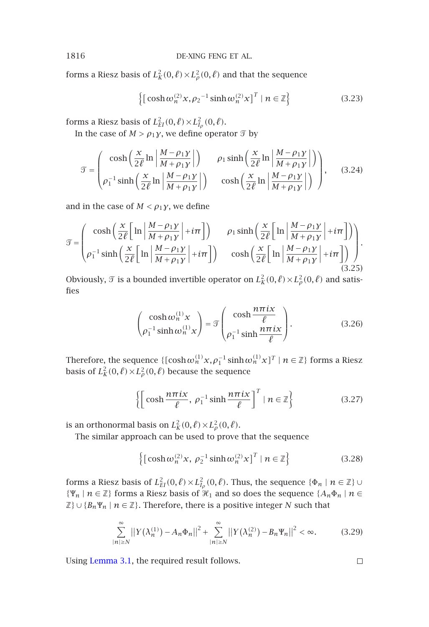forms a Riesz basis of  $L^2_K(0, \ell) \times L^2_\rho(0, \ell)$  and that the sequence

$$
\left\{ \left[ \cosh \omega_n^{(2)} x, \rho_2^{-1} \sinh \omega_n^{(2)} x \right]^T \mid n \in \mathbb{Z} \right\} \tag{3.23}
$$

forms a Riesz basis of  $L^2_{EI}(0, \ell) \times L^2_{I_\rho}(0, \ell)$ .

In the case of  $M>\rho_1\gamma$ , we define operator  $\mathfrak T$  by

$$
\mathcal{T} = \begin{pmatrix} \cosh\left(\frac{x}{2\ell} \ln \left| \frac{M - \rho_1 y}{M + \rho_1 y} \right| \right) & \rho_1 \sinh\left(\frac{x}{2\ell} \ln \left| \frac{M - \rho_1 y}{M + \rho_1 y} \right| \right) \\ \rho_1^{-1} \sinh\left(\frac{x}{2\ell} \ln \left| \frac{M - \rho_1 y}{M + \rho_1 y} \right| \right) & \cosh\left(\frac{x}{2\ell} \ln \left| \frac{M - \rho_1 y}{M + \rho_1 y} \right| \right) \end{pmatrix}, \quad (3.24)
$$

and in the case of  $M < \rho_1 \gamma$ , we define

$$
\mathcal{T} = \begin{pmatrix} \cosh\left(\frac{x}{2\ell}\left[\ln\left|\frac{M-\rho_1y}{M+\rho_1y}\right|+i\pi\right] \right) & \rho_1 \sinh\left(\frac{x}{2\ell}\left[\ln\left|\frac{M-\rho_1y}{M+\rho_1y}\right|+i\pi\right] \right) \\ \rho_1^{-1} \sinh\left(\frac{x}{2\ell}\left[\ln\left|\frac{M-\rho_1y}{M+\rho_1y}\right|+i\pi\right] \right) & \cosh\left(\frac{x}{2\ell}\left[\ln\left|\frac{M-\rho_1y}{M+\rho_1y}\right|+i\pi\right] \right) \end{pmatrix} . \tag{3.25}
$$

Obviously,  $\mathcal{T}$  is a bounded invertible operator on  $L_K^2(0,\ell) \times L_\rho^2(0,\ell)$  and satisfies

$$
\begin{pmatrix}\n\cosh \omega_n^{(1)} x \\
\rho_1^{-1} \sinh \omega_n^{(1)} x\n\end{pmatrix} = \mathcal{I} \begin{pmatrix}\n\cosh \frac{n \pi i x}{\ell} \\
\rho_1^{-1} \sinh \frac{n \pi i x}{\ell}\n\end{pmatrix}.
$$
\n(3.26)

Therefore, the sequence  $\{[\cosh \omega_n^{(1)} x, \rho_1^{-1} \sinh \omega_n^{(1)} x]^T \mid n \in \mathbb{Z}\}$  forms a Riesz basis of  $L^2_K(0,\ell) \times L^2_\rho(0,\ell)$  because the sequence

$$
\left\{ \left[ \cosh \frac{n\pi ix}{\ell}, \, \rho_1^{-1} \sinh \frac{n\pi ix}{\ell} \right]^T \mid n \in \mathbb{Z} \right\}
$$
 (3.27)

is an orthonormal basis on  $L_K^2(0, \ell) \times L_\rho^2(0, \ell)$ .

The similar approach can be used to prove that the sequence

$$
\left\{ \left[ \cosh \omega_n^{(2)} x, \, \rho_2^{-1} \sinh \omega_n^{(2)} x \right]^T \mid n \in \mathbb{Z} \right\} \tag{3.28}
$$

forms a Riesz basis of  $L^2_{EI}(0, \ell) \times L^2_{I_\rho}(0, \ell)$ . Thus, the sequence  $\{\Phi_n \mid n \in \mathbb{Z}\}$   $\cup$  $\{ \Psi_n \mid n \in \mathbb{Z} \}$  forms a Riesz basis of  $\mathcal{H}_1$  and so does the sequence  $\{A_n \Phi_n \mid n \in \mathbb{Z} \}$  $\mathbb{Z}$ }  $\cup$  {*B<sub>n</sub>*Ψ<sub>*n*</sub> |  $n \in \mathbb{Z}$ }. Therefore, there is a positive integer *N* such that

$$
\sum_{|n|\geq N}^{\infty} \left| \left| Y(\lambda_n^{(1)}) - A_n \Phi_n \right| \right|^2 + \sum_{|n|\geq N}^{\infty} \left| \left| Y(\lambda_n^{(2)}) - B_n \Psi_n \right| \right|^2 < \infty. \tag{3.29}
$$

Using Lemma 3.1, the required result follows.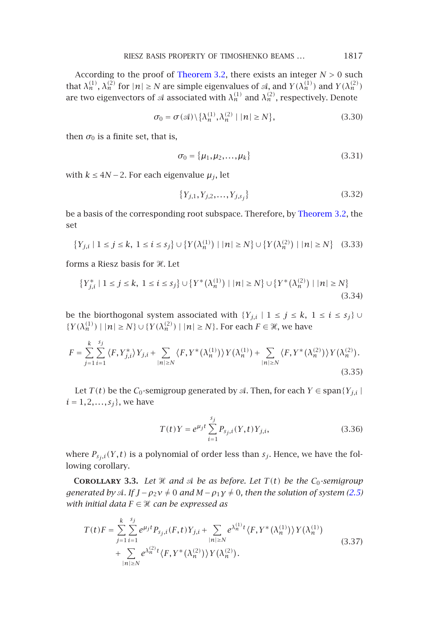RIESZ BASIS PROPERTY OF TIMOSHENKO BEAMS *...* 1817

According to the proof of Theorem 3.2, there exists an integer *N >* 0 such that  $\lambda_n^{(1)}$ ,  $\lambda_n^{(2)}$  for  $|n| \ge N$  are simple eigenvalues of A, and  $Y(\lambda_n^{(1)})$  and  $Y(\lambda_n^{(2)})$ are two eigenvectors of  $\mathcal A$  associated with  $\lambda_n^{(1)}$  and  $\lambda_n^{(2)}$ , respectively. Denote

$$
\sigma_0 = \sigma(\mathcal{A}) \setminus \{ \lambda_n^{(1)}, \lambda_n^{(2)} \mid |n| \ge N \},\tag{3.30}
$$

then  $\sigma_0$  is a finite set, that is,

$$
\sigma_0 = {\mu_1, \mu_2, ..., \mu_k}
$$
 (3.31)

with  $k$  ≤ 4*N* − 2. For each eigenvalue  $\mu_j$ , let

$$
\{Y_{j,1}, Y_{j,2}, \dots, Y_{j,s_j}\}\tag{3.32}
$$

be a basis of the corresponding root subspace. Therefore, by Theorem 3.2, the set

$$
\{Y_{j,i} \mid 1 \le j \le k, \ 1 \le i \le s_j\} \cup \{Y(\lambda_n^{(1)}) \mid |n| \ge N\} \cup \{Y(\lambda_n^{(2)}) \mid |n| \ge N\} \quad (3.33)
$$

forms a Riesz basis for  $\mathscr{H}.$  Let

$$
\{Y_{j,i}^* \mid 1 \le j \le k, \ 1 \le i \le s_j\} \cup \{Y^*(\lambda_n^{(1)}) \mid |n| \ge N\} \cup \{Y^*(\lambda_n^{(2)}) \mid |n| \ge N\}
$$
\n(3.34)

be the biorthogonal system associated with  $\{Y_{j,i} | 1 \leq j \leq k, 1 \leq i \leq s_j\}$  $\{Y(\lambda_n^{(1)}) \mid |n| \ge N\} \cup \{Y(\lambda_n^{(2)}) \mid |n| \ge N\}$ . For each  $F \in \mathcal{H}$ , we have

$$
F = \sum_{j=1}^{k} \sum_{i=1}^{s_j} \langle F, Y_{j,i}^* \rangle Y_{j,i} + \sum_{|n| \ge N} \langle F, Y^* (\lambda_n^{(1)}) \rangle Y(\lambda_n^{(1)}) + \sum_{|n| \ge N} \langle F, Y^* (\lambda_n^{(2)}) \rangle Y(\lambda_n^{(2)}).
$$
\n(3.35)

Let *T*(*t*) be the *C*<sub>0</sub>-semigroup generated by  $\mathcal{A}$ . Then, for each *Y*  $\in$  span{*Y<sub>j,i</sub>* |  $i = 1, 2, ..., s_j$ , we have

$$
T(t)Y = e^{\mu_j t} \sum_{i=1}^{s_j} P_{s_j, i}(Y, t) Y_{j, i},
$$
\n(3.36)

where  $P_{s_j,i}(Y,t)$  is a polynomial of order less than  $s_j$ . Hence, we have the following corollary.

**COROLLARY** 3.3. Let  $\mathcal{H}$  and  $\mathcal{A}$  be as before. Let  $T(t)$  be the  $C_0$ -semigroup *generated by*  $\triangleleft$ . If  $J - \rho_2 v \neq 0$  and  $M - \rho_1 v \neq 0$ , then the solution of system (2.5) *with initial data*  $F \in \mathcal{H}$  can be expressed as

$$
T(t)F = \sum_{j=1}^{k} \sum_{i=1}^{s_j} e^{\mu_j t} P_{s_j, i}(F, t) Y_{j, i} + \sum_{|n| \ge N} e^{\lambda_n^{(1)} t} \langle F, Y^* (\lambda_n^{(1)}) \rangle Y(\lambda_n^{(1)}) + \sum_{|n| \ge N} e^{\lambda_n^{(2)} t} \langle F, Y^* (\lambda_n^{(2)}) \rangle Y(\lambda_n^{(2)}).
$$
\n(3.37)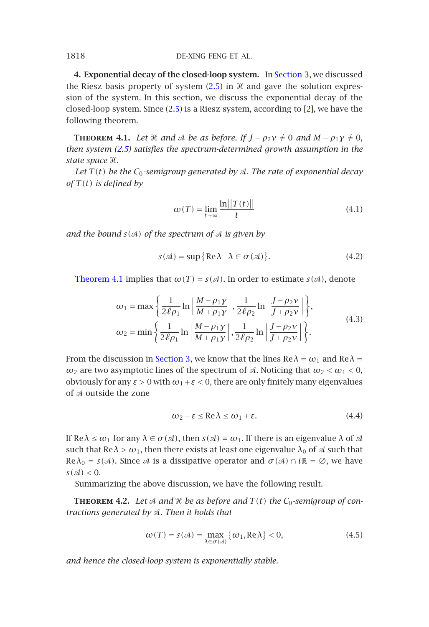<span id="page-11-0"></span>**4. Exponential decay of the closed-loop system.** In Section 3, we discussed the Riesz basis property of system  $(2.5)$  in  $\mathcal X$  and gave the solution expression of the system. In this section, we discuss the exponential decay of the closed-loop system. Since (2.5) is a Riesz system, according to [2], we have the following theorem.

**THEOREM 4.1.** Let  $\mathcal{H}$  and  $\mathcal{A}$  be as before. If  $J - \rho_2 v \neq 0$  and  $M - \rho_1 y \neq 0$ , *then system (2.5) satisfies the spectrum-determined growth assumption in the* state space  $\mathcal{H}$ *.* 

*Let*  $T(t)$  *be the*  $C_0$ -semigroup generated by  $\mathcal{A}$ . The rate of exponential decay  $of T(t)$  *[is](#page-11-0) [define](#page-11-0)d by* 

$$
\omega(T) = \lim_{t \to \infty} \frac{\ln ||T(t)||}{t}
$$
\n(4.1)

*and the bound*  $s(\mathcal{A})$  *of the spectrum of*  $\mathcal{A}$  *is given by* 

$$
s(\mathcal{A}) = \sup \{ \text{Re}\,\lambda \mid \lambda \in \sigma(\mathcal{A}) \}. \tag{4.2}
$$

Theorem 4.1 implies that  $\omega(T) = s(\mathcal{A})$ . In order to estimate  $s(\mathcal{A})$ , denote

$$
\omega_1 = \max \left\{ \frac{1}{2\ell \rho_1} \ln \left| \frac{M - \rho_1 \gamma}{M + \rho_1 \gamma} \right|, \frac{1}{2\ell \rho_2} \ln \left| \frac{J - \rho_2 \gamma}{J + \rho_2 \gamma} \right| \right\},\
$$
  

$$
\omega_2 = \min \left\{ \frac{1}{2\ell \rho_1} \ln \left| \frac{M - \rho_1 \gamma}{M + \rho_1 \gamma} \right|, \frac{1}{2\ell \rho_2} \ln \left| \frac{J - \rho_2 \gamma}{J + \rho_2 \gamma} \right| \right\}.
$$
 (4.3)

From the discussion in Section 3, we know that the lines  $\text{Re}\lambda = \omega_1$  and  $\text{Re}\lambda =$ *ω*<sub>2</sub> are two asymptotic lines of the spectrum of *A*. Noticing that  $ω$ <sub>2</sub>  $< ω$ <sub>1</sub>  $<$  0, obviously for any *ε >* 0 with *ω*1+*ε <* 0, there are only finitely many eigenvalues of  $\mathcal A$  outside the zone

$$
\omega_2 - \varepsilon \le \text{Re}\,\lambda \le \omega_1 + \varepsilon. \tag{4.4}
$$

If Re  $λ ≤ ω_1$  for any  $λ ∈ σ(α)$ , then  $s(α) = ω_1$ . If there is an eigenvalue  $λ$  of  $α$ such that  $\text{Re}\lambda > \omega_1$ , then there exists at least one eigenvalue  $\lambda_0$  of  $\mathcal A$  such that  $Re \lambda_0 = s(\mathcal{A})$ . Since  $\mathcal{A}$  is a dissipative operator and  $\sigma(\mathcal{A}) \cap i\mathbb{R} = \emptyset$ , we have  $s(\mathcal{A}) < 0$ .

Summarizing the above discussion, we have the following result.

**THEOREM 4.2.** Let  $\mathcal A$  and  $\mathcal H$  be as before and  $T(t)$  the  $C_0$ -semigroup of con*tractions generated by . Then it holds that*

$$
\omega(T) = s(\mathcal{A}) = \max_{\lambda \in \sigma(\mathcal{A})} \{ \omega_1, \text{Re}\lambda \} < 0,\tag{4.5}
$$

*and hence the closed-loop system is exponentially stable.*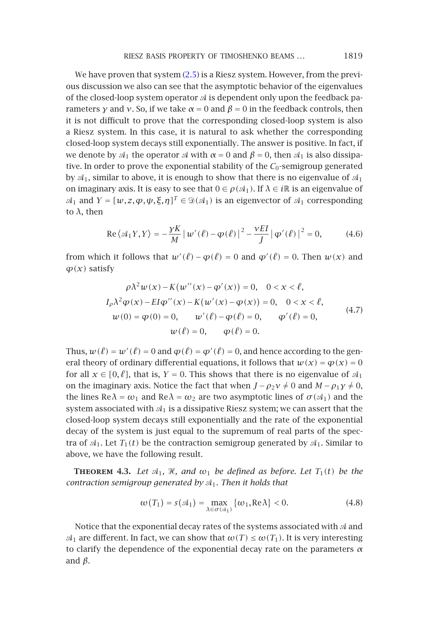#### RIESZ BASIS PROPERTY OF TIMOSHENKO BEAMS *...* 1819

We have proven that system  $(2.5)$  is a Riesz system. However, from the previous discussion we also can see that the asymptotic behavior of the eigenvalues of the closed-loop system operator  $\mathcal A$  is dependent only upon the feedback parameters *γ* and *ν*. So, if we take  $α = 0$  and  $β = 0$  in the feedback controls, then it is not difficult to prove that the corresponding closed-loop system is also a Riesz system. In this case, it is natural to ask whether the corresponding closed-loop system decays still exponentially. The answer is positive. In fact, if we denote by  $\mathcal{A}_1$  the operator  $\mathcal A$  with  $\alpha = 0$  and  $\beta = 0$ , then  $\mathcal{A}_1$  is also dissipative. In order to prove the exponential stability of the  $C_0$ -semigroup generated by  $A_1$ , similar to above, it is enough to show that there is no eigenvalue of  $A_1$ on imaginary axis. It is easy to see that  $0 \in \rho(\mathcal{A}_1)$ . If  $\lambda \in \mathcal{R}$  is an eigenvalue of  $\mathcal{A}_1$  and  $Y = [w, z, \varphi, \psi, \xi, \eta]^T \in \mathcal{D}(\mathcal{A}_1)$  is an eigenvector of  $\mathcal{A}_1$  corresponding to *λ*, then

$$
\operatorname{Re}\left\langle \mathcal{A}_1 Y, Y \right\rangle = -\frac{\gamma K}{M} \left| w'(\ell) - \varphi(\ell) \right|^2 - \frac{\gamma EI}{J} \left| \varphi'(\ell) \right|^2 = 0, \tag{4.6}
$$

from which it follows that  $w'(\ell) - \varphi(\ell) = 0$  and  $\varphi'(\ell) = 0$ . Then  $w(x)$  and *ϕ(x)* satisfy

$$
\rho \lambda^2 w(x) - K(w''(x) - \varphi'(x)) = 0, \quad 0 < x < \ell,
$$
  
\n
$$
I_{\rho} \lambda^2 \varphi(x) - EI \varphi''(x) - K(w'(x) - \varphi(x)) = 0, \quad 0 < x < \ell,
$$
  
\n
$$
w(0) = \varphi(0) = 0, \qquad w'(\ell) - \varphi(\ell) = 0, \qquad \varphi'(\ell) = 0,
$$
  
\n
$$
w(\ell) = 0, \qquad \varphi(\ell) = 0.
$$
\n(4.7)

Thus,  $w(\ell) = w'(\ell) = 0$  and  $\varphi(\ell) = \varphi'(\ell) = 0$ , and hence according to the general theory of ordinary differential equations, it follows that  $w(x) = \varphi(x) = 0$ for all  $x \in [0, \ell]$ , that is,  $Y = 0$ . This shows that there is no eigenvalue of  $\mathcal{A}_1$ on the imaginary axis. Notice the fact that when  $J - \rho_2 v \neq 0$  and  $M - \rho_1 y \neq 0$ , the lines  $\text{Re }\lambda = \omega_1$  and  $\text{Re }\lambda = \omega_2$  are two asymptotic lines of  $\sigma(\mathcal{A}_1)$  and the system associated with  $A_1$  is a dissipative Riesz system; we can assert that the closed-loop system decays still exponentially and the rate of the exponential decay of the system is just equal to the supremum of real parts of the spectra of  $A_1$ . Let  $T_1(t)$  be the contraction semigroup generated by  $A_1$ . Similar to above, we have the following result.

**THEOREM 4.3.** Let  $\mathcal{A}_1$ ,  $\mathcal{H}$ , and  $\omega_1$  be defined as before. Let  $T_1(t)$  be the *contraction semigroup generated by*  $\mathcal{A}_1$ *. Then it holds that* 

$$
\omega(T_1) = s(\mathcal{A}_1) = \max_{\lambda \in \sigma(\mathcal{A}_1)} \{ \omega_1, \text{Re}\lambda \} < 0. \tag{4.8}
$$

Notice that the exponential decay rates of the systems associated with  $A$  and  $\mathcal{A}_1$  are different. In fact, we can show that  $\omega(T) \leq \omega(T_1)$ . It is very interesting to clarify the dependence of the exponential decay rate on the parameters *α* and *β*.